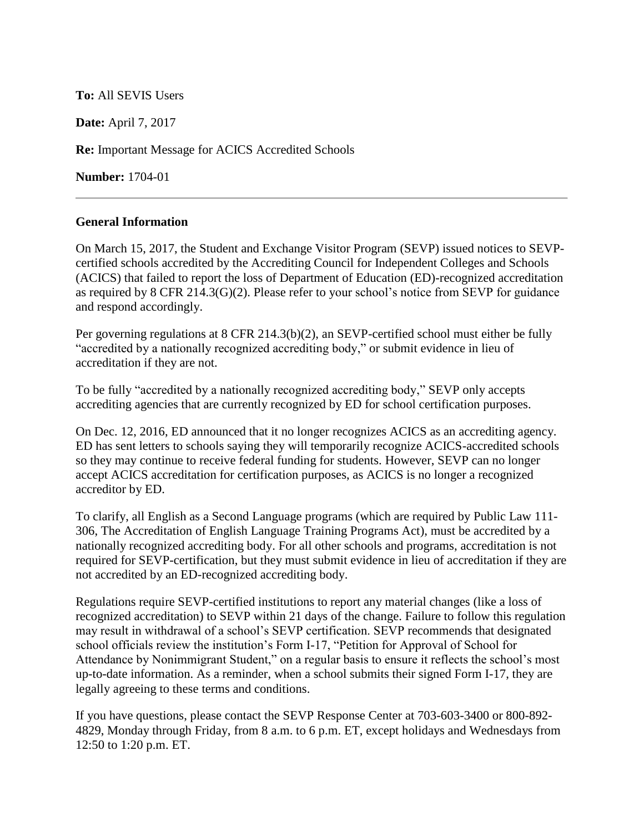## **To:** All SEVIS Users

**Date:** April 7, 2017

**Re:** Important Message for ACICS Accredited Schools

**Number:** 1704-01

## **General Information**

On March 15, 2017, the Student and Exchange Visitor Program (SEVP) issued notices to SEVPcertified schools accredited by the Accrediting Council for Independent Colleges and Schools (ACICS) that failed to report the loss of Department of Education (ED)-recognized accreditation as required by 8 CFR 214.3(G)(2). Please refer to your school's notice from SEVP for guidance and respond accordingly.

Per governing regulations at 8 CFR 214.3(b)(2), an SEVP-certified school must either be fully "accredited by a nationally recognized accrediting body," or submit evidence in lieu of accreditation if they are not.

To be fully "accredited by a nationally recognized accrediting body," SEVP only accepts accrediting agencies that are currently recognized by ED for school certification purposes.

On Dec. 12, 2016, ED announced that it no longer recognizes ACICS as an accrediting agency. ED has sent letters to schools saying they will temporarily recognize ACICS-accredited schools so they may continue to receive federal funding for students. However, SEVP can no longer accept ACICS accreditation for certification purposes, as ACICS is no longer a recognized accreditor by ED.

To clarify, all English as a Second Language programs (which are required by Public Law 111- 306, The Accreditation of English Language Training Programs Act), must be accredited by a nationally recognized accrediting body. For all other schools and programs, accreditation is not required for SEVP-certification, but they must submit evidence in lieu of accreditation if they are not accredited by an ED-recognized accrediting body.

Regulations require SEVP-certified institutions to report any material changes (like a loss of recognized accreditation) to SEVP within 21 days of the change. Failure to follow this regulation may result in withdrawal of a school's SEVP certification. SEVP recommends that designated school officials review the institution's Form I-17, "Petition for Approval of School for Attendance by Nonimmigrant Student," on a regular basis to ensure it reflects the school's most up-to-date information. As a reminder, when a school submits their signed Form I-17, they are legally agreeing to these terms and conditions.

If you have questions, please contact the SEVP Response Center at 703-603-3400 or 800-892- 4829, Monday through Friday, from 8 a.m. to 6 p.m. ET, except holidays and Wednesdays from 12:50 to 1:20 p.m. ET.